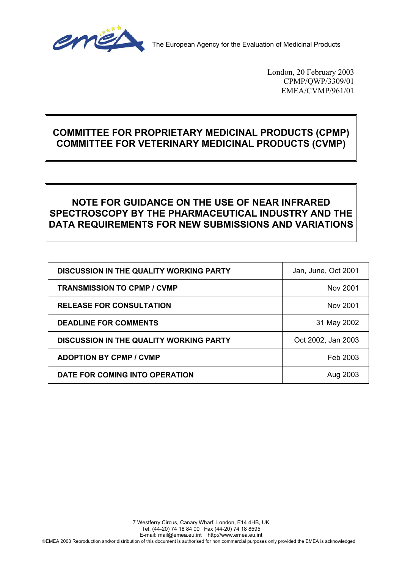

The European Agency for the Evaluation of Medicinal Products

London, 20 February 2003 CPMP/QWP/3309/01 EMEA/CVMP/961/01

# **COMMITTEE FOR PROPRIETARY MEDICINAL PRODUCTS (CPMP) COMMITTEE FOR VETERINARY MEDICINAL PRODUCTS (CVMP)**

# **NOTE FOR GUIDANCE ON THE USE OF NEAR INFRARED SPECTROSCOPY BY THE PHARMACEUTICAL INDUSTRY AND THE DATA REQUIREMENTS FOR NEW SUBMISSIONS AND VARIATIONS**

| <b>DISCUSSION IN THE QUALITY WORKING PARTY</b> | Jan, June, Oct 2001 |
|------------------------------------------------|---------------------|
| <b>TRANSMISSION TO CPMP / CVMP</b>             | Nov 2001            |
| <b>RELEASE FOR CONSULTATION</b>                | Nov 2001            |
| <b>DEADLINE FOR COMMENTS</b>                   | 31 May 2002         |
| <b>DISCUSSION IN THE QUALITY WORKING PARTY</b> | Oct 2002, Jan 2003  |
| <b>ADOPTION BY CPMP / CVMP</b>                 | Feb 2003            |
| DATE FOR COMING INTO OPERATION                 | Aug 2003            |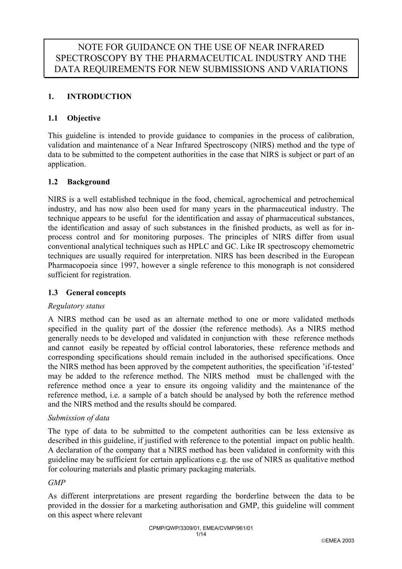# **1. INTRODUCTION**

## **1.1 Objective**

This guideline is intended to provide guidance to companies in the process of calibration, validation and maintenance of a Near Infrared Spectroscopy (NIRS) method and the type of data to be submitted to the competent authorities in the case that NIRS is subject or part of an application.

### **1.2 Background**

NIRS is a well established technique in the food, chemical, agrochemical and petrochemical industry, and has now also been used for many years in the pharmaceutical industry. The technique appears to be useful for the identification and assay of pharmaceutical substances, the identification and assay of such substances in the finished products, as well as for inprocess control and for monitoring purposes. The principles of NIRS differ from usual conventional analytical techniques such as HPLC and GC. Like IR spectroscopy chemometric techniques are usually required for interpretation. NIRS has been described in the European Pharmacopoeia since 1997, however a single reference to this monograph is not considered sufficient for registration.

### **1.3 General concepts**

### *Regulatory status*

A NIRS method can be used as an alternate method to one or more validated methods specified in the quality part of the dossier (the reference methods). As a NIRS method generally needs to be developed and validated in conjunction with these reference methods and cannot easily be repeated by official control laboratories, these reference methods and corresponding specifications should remain included in the authorised specifications. Once the NIRS method has been approved by the competent authorities, the specification 'if-tested' may be added to the reference method. The NIRS method must be challenged with the reference method once a year to ensure its ongoing validity and the maintenance of the reference method, i.e. a sample of a batch should be analysed by both the reference method and the NIRS method and the results should be compared.

### *Submission of data*

The type of data to be submitted to the competent authorities can be less extensive as described in this guideline, if justified with reference to the potential impact on public health. A declaration of the company that a NIRS method has been validated in conformity with this guideline may be sufficient for certain applications e.g. the use of NIRS as qualitative method for colouring materials and plastic primary packaging materials.

### *GMP*

As different interpretations are present regarding the borderline between the data to be provided in the dossier for a marketing authorisation and GMP, this guideline will comment on this aspect where relevant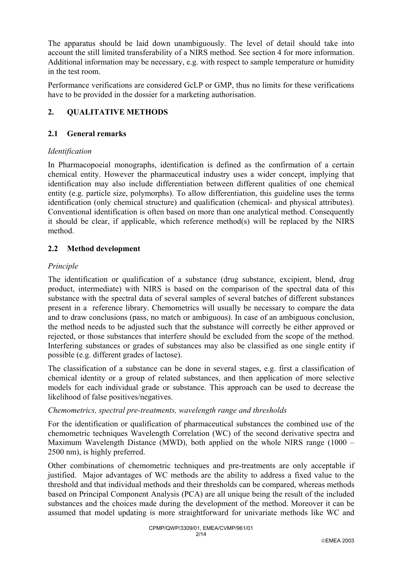The apparatus should be laid down unambiguously. The level of detail should take into account the still limited transferability of a NIRS method. See section 4 for more information. Additional information may be necessary, e.g. with respect to sample temperature or humidity in the test room.

Performance verifications are considered GcLP or GMP, thus no limits for these verifications have to be provided in the dossier for a marketing authorisation.

# **2. QUALITATIVE METHODS**

## **2.1 General remarks**

### *Identification*

In Pharmacopoeial monographs, identification is defined as the confirmation of a certain chemical entity. However the pharmaceutical industry uses a wider concept, implying that identification may also include differentiation between different qualities of one chemical entity (e.g. particle size, polymorphs). To allow differentiation, this guideline uses the terms identification (only chemical structure) and qualification (chemical- and physical attributes). Conventional identification is often based on more than one analytical method. Consequently it should be clear, if applicable, which reference method(s) will be replaced by the NIRS method.

### **2.2 Method development**

### *Principle*

The identification or qualification of a substance (drug substance, excipient, blend, drug product, intermediate) with NIRS is based on the comparison of the spectral data of this substance with the spectral data of several samples of several batches of different substances present in a reference library. Chemometrics will usually be necessary to compare the data and to draw conclusions (pass, no match or ambiguous). In case of an ambiguous conclusion, the method needs to be adjusted such that the substance will correctly be either approved or rejected, or those substances that interfere should be excluded from the scope of the method. Interfering substances or grades of substances may also be classified as one single entity if possible (e.g. different grades of lactose).

The classification of a substance can be done in several stages, e.g. first a classification of chemical identity or a group of related substances, and then application of more selective models for each individual grade or substance. This approach can be used to decrease the likelihood of false positives/negatives.

### *Chemometrics, spectral pre-treatments, wavelength range and thresholds*

For the identification or qualification of pharmaceutical substances the combined use of the chemometric techniques Wavelength Correlation (WC) of the second derivative spectra and Maximum Wavelength Distance (MWD), both applied on the whole NIRS range (1000 – 2500 nm), is highly preferred.

Other combinations of chemometric techniques and pre-treatments are only acceptable if justified. Major advantages of WC methods are the ability to address a fixed value to the threshold and that individual methods and their thresholds can be compared, whereas methods based on Principal Component Analysis (PCA) are all unique being the result of the included substances and the choices made during the development of the method. Moreover it can be assumed that model updating is more straightforward for univariate methods like WC and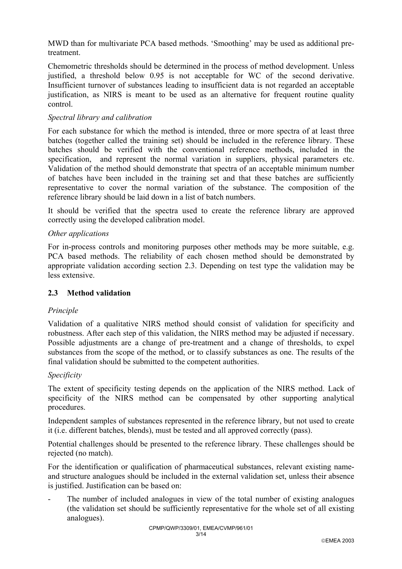MWD than for multivariate PCA based methods. 'Smoothing' may be used as additional pretreatment.

Chemometric thresholds should be determined in the process of method development. Unless justified, a threshold below 0.95 is not acceptable for WC of the second derivative. Insufficient turnover of substances leading to insufficient data is not regarded an acceptable justification, as NIRS is meant to be used as an alternative for frequent routine quality control.

### *Spectral library and calibration*

For each substance for which the method is intended, three or more spectra of at least three batches (together called the training set) should be included in the reference library. These batches should be verified with the conventional reference methods, included in the specification, and represent the normal variation in suppliers, physical parameters etc. Validation of the method should demonstrate that spectra of an acceptable minimum number of batches have been included in the training set and that these batches are sufficiently representative to cover the normal variation of the substance. The composition of the reference library should be laid down in a list of batch numbers.

It should be verified that the spectra used to create the reference library are approved correctly using the developed calibration model.

#### *Other applications*

For in-process controls and monitoring purposes other methods may be more suitable, e.g. PCA based methods. The reliability of each chosen method should be demonstrated by appropriate validation according section 2.3. Depending on test type the validation may be less extensive.

### **2.3 Method validation**

### *Principle*

Validation of a qualitative NIRS method should consist of validation for specificity and robustness. After each step of this validation, the NIRS method may be adjusted if necessary. Possible adjustments are a change of pre-treatment and a change of thresholds, to expel substances from the scope of the method, or to classify substances as one. The results of the final validation should be submitted to the competent authorities.

#### *Specificity*

The extent of specificity testing depends on the application of the NIRS method. Lack of specificity of the NIRS method can be compensated by other supporting analytical procedures.

Independent samples of substances represented in the reference library, but not used to create it (i.e. different batches, blends), must be tested and all approved correctly (pass).

Potential challenges should be presented to the reference library. These challenges should be rejected (no match).

For the identification or qualification of pharmaceutical substances, relevant existing nameand structure analogues should be included in the external validation set, unless their absence is justified. Justification can be based on:

The number of included analogues in view of the total number of existing analogues (the validation set should be sufficiently representative for the whole set of all existing analogues).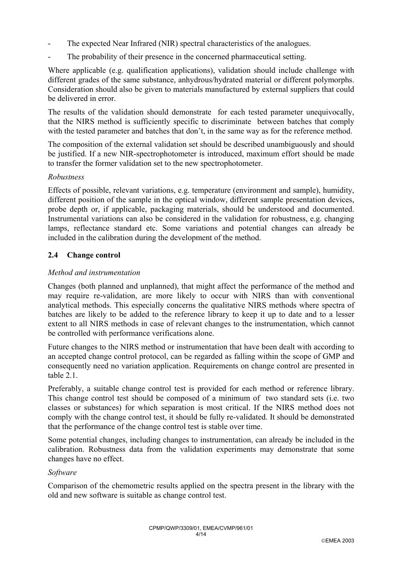- The expected Near Infrared (NIR) spectral characteristics of the analogues.
- The probability of their presence in the concerned pharmaceutical setting.

Where applicable (e.g. qualification applications), validation should include challenge with different grades of the same substance, anhydrous/hydrated material or different polymorphs. Consideration should also be given to materials manufactured by external suppliers that could be delivered in error.

The results of the validation should demonstrate for each tested parameter unequivocally, that the NIRS method is sufficiently specific to discriminate between batches that comply with the tested parameter and batches that don't, in the same way as for the reference method.

The composition of the external validation set should be described unambiguously and should be justified. If a new NIR-spectrophotometer is introduced, maximum effort should be made to transfer the former validation set to the new spectrophotometer.

#### *Robustness*

Effects of possible, relevant variations, e.g. temperature (environment and sample), humidity, different position of the sample in the optical window, different sample presentation devices, probe depth or, if applicable, packaging materials, should be understood and documented. Instrumental variations can also be considered in the validation for robustness, e.g. changing lamps, reflectance standard etc. Some variations and potential changes can already be included in the calibration during the development of the method.

### **2.4 Change control**

#### *Method and instrumentation*

Changes (both planned and unplanned), that might affect the performance of the method and may require re-validation, are more likely to occur with NIRS than with conventional analytical methods. This especially concerns the qualitative NIRS methods where spectra of batches are likely to be added to the reference library to keep it up to date and to a lesser extent to all NIRS methods in case of relevant changes to the instrumentation, which cannot be controlled with performance verifications alone.

Future changes to the NIRS method or instrumentation that have been dealt with according to an accepted change control protocol, can be regarded as falling within the scope of GMP and consequently need no variation application. Requirements on change control are presented in table 2.1

Preferably, a suitable change control test is provided for each method or reference library. This change control test should be composed of a minimum of two standard sets (i.e. two classes or substances) for which separation is most critical. If the NIRS method does not comply with the change control test, it should be fully re-validated. It should be demonstrated that the performance of the change control test is stable over time.

Some potential changes, including changes to instrumentation, can already be included in the calibration. Robustness data from the validation experiments may demonstrate that some changes have no effect.

#### *Software*

Comparison of the chemometric results applied on the spectra present in the library with the old and new software is suitable as change control test.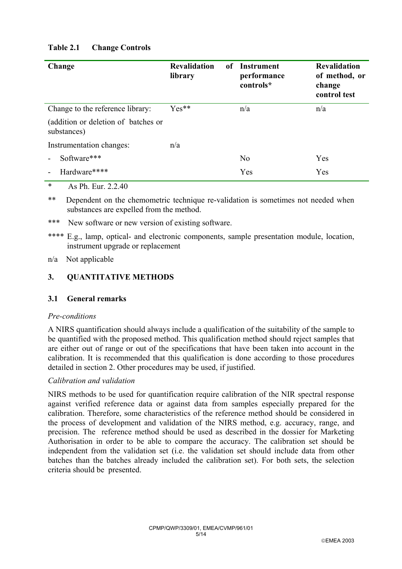# **Table 2.1 Change Controls**

| Change                                                                                                                                                                                                                                                                                                                             | <b>Revalidation</b><br>of<br>library | <b>Instrument</b><br>performance<br>controls* | <b>Revalidation</b><br>of method, or<br>change<br>control test |
|------------------------------------------------------------------------------------------------------------------------------------------------------------------------------------------------------------------------------------------------------------------------------------------------------------------------------------|--------------------------------------|-----------------------------------------------|----------------------------------------------------------------|
| Change to the reference library:                                                                                                                                                                                                                                                                                                   | $Yes**$                              | n/a                                           | n/a                                                            |
| (addition or deletion of batches or<br>substances)                                                                                                                                                                                                                                                                                 |                                      |                                               |                                                                |
| Instrumentation changes:                                                                                                                                                                                                                                                                                                           | n/a                                  |                                               |                                                                |
| Software***                                                                                                                                                                                                                                                                                                                        |                                      | N <sub>0</sub>                                | Yes                                                            |
| Hardware****                                                                                                                                                                                                                                                                                                                       |                                      | Yes                                           | Yes                                                            |
| $\mathbf{a}$ $\mathbf{b}$ $\mathbf{c}$ $\mathbf{d}$ $\mathbf{c}$ $\mathbf{d}$ $\mathbf{c}$ $\mathbf{d}$ $\mathbf{d}$ $\mathbf{e}$ $\mathbf{d}$ $\mathbf{e}$ $\mathbf{d}$ $\mathbf{e}$ $\mathbf{d}$ $\mathbf{e}$ $\mathbf{d}$ $\mathbf{e}$ $\mathbf{d}$ $\mathbf{e}$ $\mathbf{d}$ $\mathbf{e}$ $\mathbf{d}$ $\mathbf{e}$ $\mathbf{$ |                                      |                                               |                                                                |

\* As Ph. Eur. 2.2.40

\*\* Dependent on the chemometric technique re-validation is sometimes not needed when substances are expelled from the method.

- \*\*\* New software or new version of existing software.
- \*\*\*\* E.g., lamp, optical- and electronic components, sample presentation module, location, instrument upgrade or replacement

#### n/a Not applicable

### **3. QUANTITATIVE METHODS**

### **3.1 General remarks**

#### *Pre-conditions*

A NIRS quantification should always include a qualification of the suitability of the sample to be quantified with the proposed method. This qualification method should reject samples that are either out of range or out of the specifications that have been taken into account in the calibration. It is recommended that this qualification is done according to those procedures detailed in section 2. Other procedures may be used, if justified.

### *Calibration and validation*

NIRS methods to be used for quantification require calibration of the NIR spectral response against verified reference data or against data from samples especially prepared for the calibration. Therefore, some characteristics of the reference method should be considered in the process of development and validation of the NIRS method, e.g. accuracy, range, and precision. The reference method should be used as described in the dossier for Marketing Authorisation in order to be able to compare the accuracy. The calibration set should be independent from the validation set (i.e. the validation set should include data from other batches than the batches already included the calibration set). For both sets, the selection criteria should be presented.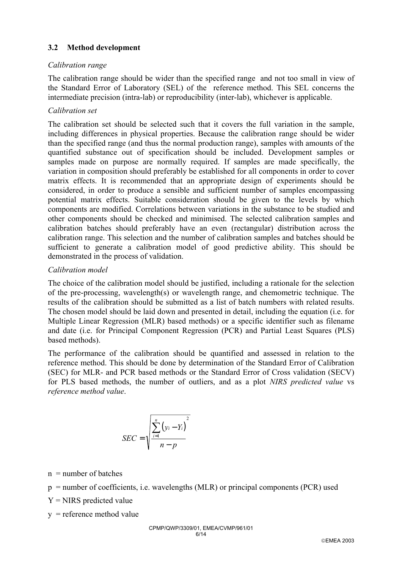### **3.2 Method development**

### *Calibration range*

The calibration range should be wider than the specified range and not too small in view of the Standard Error of Laboratory (SEL) of the reference method. This SEL concerns the intermediate precision (intra-lab) or reproducibility (inter-lab), whichever is applicable.

### *Calibration set*

The calibration set should be selected such that it covers the full variation in the sample, including differences in physical properties. Because the calibration range should be wider than the specified range (and thus the normal production range), samples with amounts of the quantified substance out of specification should be included. Development samples or samples made on purpose are normally required. If samples are made specifically, the variation in composition should preferably be established for all components in order to cover matrix effects. It is recommended that an appropriate design of experiments should be considered, in order to produce a sensible and sufficient number of samples encompassing potential matrix effects. Suitable consideration should be given to the levels by which components are modified. Correlations between variations in the substance to be studied and other components should be checked and minimised. The selected calibration samples and calibration batches should preferably have an even (rectangular) distribution across the calibration range. This selection and the number of calibration samples and batches should be sufficient to generate a calibration model of good predictive ability. This should be demonstrated in the process of validation.

### *Calibration model*

The choice of the calibration model should be justified, including a rationale for the selection of the pre-processing, wavelength(s) or wavelength range, and chemometric technique. The results of the calibration should be submitted as a list of batch numbers with related results. The chosen model should be laid down and presented in detail, including the equation (i.e. for Multiple Linear Regression (MLR) based methods) or a specific identifier such as filename and date (i.e. for Principal Component Regression (PCR) and Partial Least Squares (PLS) based methods).

The performance of the calibration should be quantified and assessed in relation to the reference method. This should be done by determination of the Standard Error of Calibration (SEC) for MLR- and PCR based methods or the Standard Error of Cross validation (SECV) for PLS based methods, the number of outliers, and as a plot *NIRS predicted value* vs *reference method value*.

$$
SEC = \sqrt{\frac{\sum_{i=1}^{n} (y_i - Y_i)^2}{n - p}}
$$

 $n =$  number of batches

p = number of coefficients, i.e. wavelengths (MLR) or principal components (PCR) used

 $Y = NIRS$  predicted value

 $y =$  reference method value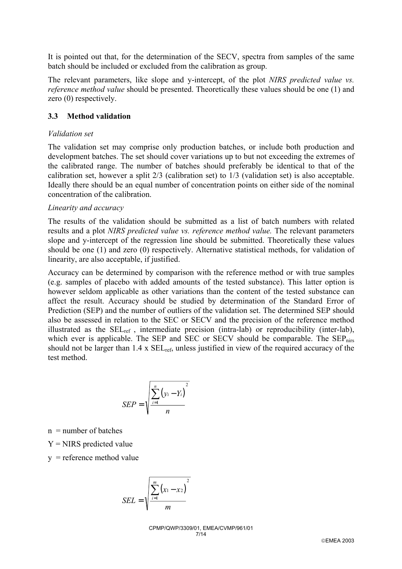It is pointed out that, for the determination of the SECV, spectra from samples of the same batch should be included or excluded from the calibration as group.

The relevant parameters, like slope and y-intercept, of the plot *NIRS predicted value vs. reference method value* should be presented. Theoretically these values should be one (1) and zero (0) respectively.

#### **3.3 Method validation**

#### *Validation set*

The validation set may comprise only production batches, or include both production and development batches. The set should cover variations up to but not exceeding the extremes of the calibrated range. The number of batches should preferably be identical to that of the calibration set, however a split 2/3 (calibration set) to 1/3 (validation set) is also acceptable. Ideally there should be an equal number of concentration points on either side of the nominal concentration of the calibration.

#### *Linearity and accuracy*

The results of the validation should be submitted as a list of batch numbers with related results and a plot *NIRS predicted value vs. reference method value.* The relevant parameters slope and y-intercept of the regression line should be submitted. Theoretically these values should be one (1) and zero (0) respectively. Alternative statistical methods, for validation of linearity, are also acceptable, if justified.

Accuracy can be determined by comparison with the reference method or with true samples (e.g. samples of placebo with added amounts of the tested substance). This latter option is however seldom applicable as other variations than the content of the tested substance can affect the result. Accuracy should be studied by determination of the Standard Error of Prediction (SEP) and the number of outliers of the validation set. The determined SEP should also be assessed in relation to the SEC or SECV and the precision of the reference method illustrated as the SELref , intermediate precision (intra-lab) or reproducibility (inter-lab), which ever is applicable. The SEP and SEC or SECV should be comparable. The  $SEP_{nirs}$ should not be larger than 1.4 x SELref, unless justified in view of the required accuracy of the test method.

$$
SEP = \sqrt{\frac{\sum_{i=1}^{n} (y_i - Y_i)}{n}}
$$

 $n =$  number of batches

 $Y = NIRS$  predicted value

 $y =$  reference method value

$$
SEL = \sqrt{\frac{\sum_{i=1}^{m} (x_1 - x_2)^2}{m}}
$$

CPMP/QWP/3309/01, EMEA/CVMP/961/01 7/14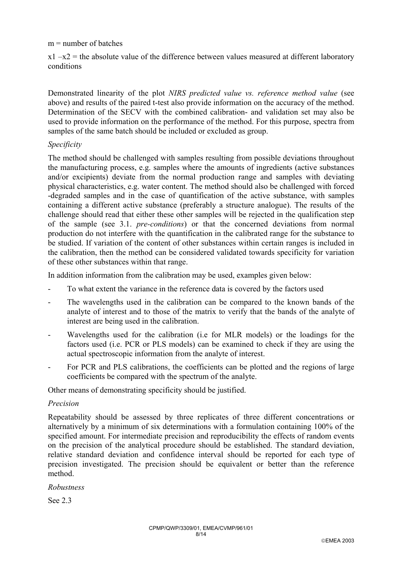#### $m =$  number of batches

 $x1 - x2$  = the absolute value of the difference between values measured at different laboratory conditions

Demonstrated linearity of the plot *NIRS predicted value vs. reference method value* (see above) and results of the paired t-test also provide information on the accuracy of the method. Determination of the SECV with the combined calibration- and validation set may also be used to provide information on the performance of the method. For this purpose, spectra from samples of the same batch should be included or excluded as group.

### *Specificity*

The method should be challenged with samples resulting from possible deviations throughout the manufacturing process, e.g. samples where the amounts of ingredients (active substances and/or excipients) deviate from the normal production range and samples with deviating physical characteristics, e.g. water content. The method should also be challenged with forced -degraded samples and in the case of quantification of the active substance, with samples containing a different active substance (preferably a structure analogue). The results of the challenge should read that either these other samples will be rejected in the qualification step of the sample (see 3.1. *pre-conditions*) or that the concerned deviations from normal production do not interfere with the quantification in the calibrated range for the substance to be studied. If variation of the content of other substances within certain ranges is included in the calibration, then the method can be considered validated towards specificity for variation of these other substances within that range.

In addition information from the calibration may be used, examples given below:

- To what extent the variance in the reference data is covered by the factors used
- The wavelengths used in the calibration can be compared to the known bands of the analyte of interest and to those of the matrix to verify that the bands of the analyte of interest are being used in the calibration.
- Wavelengths used for the calibration (i.e for MLR models) or the loadings for the factors used (i.e. PCR or PLS models) can be examined to check if they are using the actual spectroscopic information from the analyte of interest.
- For PCR and PLS calibrations, the coefficients can be plotted and the regions of large coefficients be compared with the spectrum of the analyte.

Other means of demonstrating specificity should be justified.

#### *Precision*

Repeatability should be assessed by three replicates of three different concentrations or alternatively by a minimum of six determinations with a formulation containing 100% of the specified amount. For intermediate precision and reproducibility the effects of random events on the precision of the analytical procedure should be established. The standard deviation, relative standard deviation and confidence interval should be reported for each type of precision investigated. The precision should be equivalent or better than the reference method.

*Robustness* 

See 2.3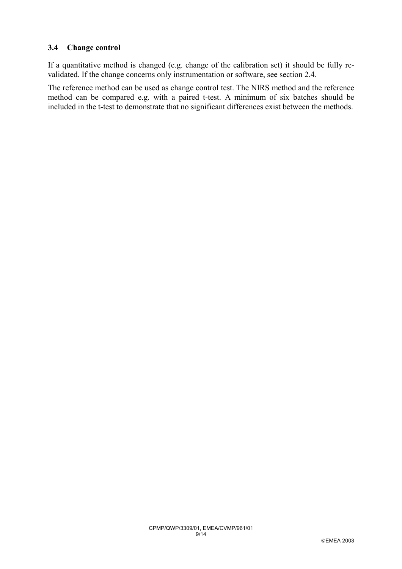### **3.4 Change control**

If a quantitative method is changed (e.g. change of the calibration set) it should be fully revalidated. If the change concerns only instrumentation or software, see section 2.4.

The reference method can be used as change control test. The NIRS method and the reference method can be compared e.g. with a paired t-test. A minimum of six batches should be included in the t-test to demonstrate that no significant differences exist between the methods.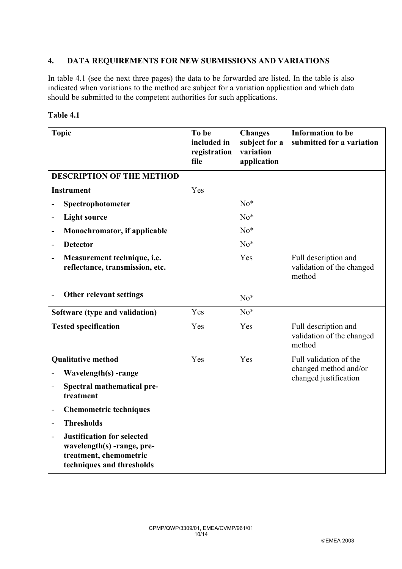### **4. DATA REQUIREMENTS FOR NEW SUBMISSIONS AND VARIATIONS**

In table 4.1 (see the next three pages) the data to be forwarded are listed. In the table is also indicated when variations to the method are subject for a variation application and which data should be submitted to the competent authorities for such applications.

| <b>Topic</b>                                                                                                           | To be<br>included in<br>registration<br>file | <b>Changes</b><br>subject for a<br>variation<br>application | <b>Information</b> to be<br>submitted for a variation       |
|------------------------------------------------------------------------------------------------------------------------|----------------------------------------------|-------------------------------------------------------------|-------------------------------------------------------------|
| <b>DESCRIPTION OF THE METHOD</b>                                                                                       |                                              |                                                             |                                                             |
| <b>Instrument</b>                                                                                                      | Yes                                          |                                                             |                                                             |
| Spectrophotometer                                                                                                      |                                              | $No*$                                                       |                                                             |
| <b>Light source</b><br>$\overline{\phantom{0}}$                                                                        |                                              | $No*$                                                       |                                                             |
| Monochromator, if applicable<br>$\overline{a}$                                                                         |                                              | $No*$                                                       |                                                             |
| <b>Detector</b>                                                                                                        |                                              | $No*$                                                       |                                                             |
| Measurement technique, i.e.<br>$\overline{\phantom{m}}$<br>reflectance, transmission, etc.                             |                                              | Yes                                                         | Full description and<br>validation of the changed<br>method |
| Other relevant settings<br>-                                                                                           |                                              | $No*$                                                       |                                                             |
| Software (type and validation)                                                                                         | Yes                                          | $No*$                                                       |                                                             |
| <b>Tested specification</b>                                                                                            | Yes                                          | Yes                                                         | Full description and<br>validation of the changed<br>method |
| <b>Qualitative method</b>                                                                                              | Yes                                          | Yes                                                         | Full validation of the                                      |
| Wavelength(s) -range                                                                                                   |                                              |                                                             | changed method and/or<br>changed justification              |
| Spectral mathematical pre-<br>$\overline{a}$<br>treatment                                                              |                                              |                                                             |                                                             |
| <b>Chemometric techniques</b><br>$\overline{\phantom{0}}$                                                              |                                              |                                                             |                                                             |
| <b>Thresholds</b><br>-                                                                                                 |                                              |                                                             |                                                             |
| <b>Justification for selected</b><br>wavelength(s) -range, pre-<br>treatment, chemometric<br>techniques and thresholds |                                              |                                                             |                                                             |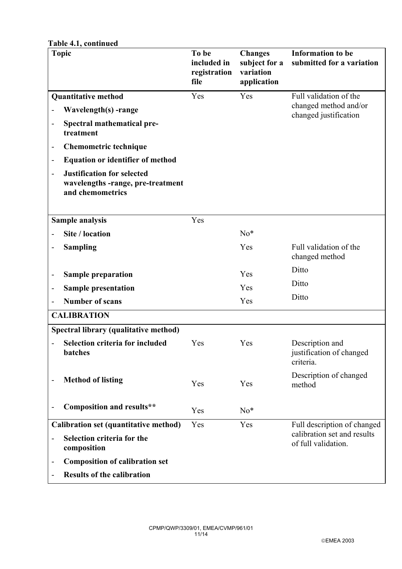| Table 4.1, continued                                                                                         |                                              |                                                             |                                                          |
|--------------------------------------------------------------------------------------------------------------|----------------------------------------------|-------------------------------------------------------------|----------------------------------------------------------|
| <b>Topic</b>                                                                                                 | To be<br>included in<br>registration<br>file | <b>Changes</b><br>subject for a<br>variation<br>application | <b>Information to be</b><br>submitted for a variation    |
| <b>Quantitative method</b>                                                                                   | Yes                                          | Yes                                                         | Full validation of the                                   |
| Wavelength(s) -range                                                                                         |                                              |                                                             | changed method and/or<br>changed justification           |
| Spectral mathematical pre-<br>$\overline{\phantom{a}}$<br>treatment                                          |                                              |                                                             |                                                          |
| <b>Chemometric technique</b><br>-                                                                            |                                              |                                                             |                                                          |
| <b>Equation or identifier of method</b><br>$\qquad \qquad -$                                                 |                                              |                                                             |                                                          |
| <b>Justification for selected</b><br>$\overline{a}$<br>wavelengths -range, pre-treatment<br>and chemometrics |                                              |                                                             |                                                          |
| Sample analysis                                                                                              | Yes                                          |                                                             |                                                          |
| Site / location                                                                                              |                                              | $No*$                                                       |                                                          |
| <b>Sampling</b>                                                                                              |                                              | Yes                                                         | Full validation of the<br>changed method                 |
| <b>Sample preparation</b><br>-                                                                               |                                              | Yes                                                         | Ditto                                                    |
| <b>Sample presentation</b><br>-                                                                              |                                              | Yes                                                         | Ditto                                                    |
| <b>Number of scans</b>                                                                                       |                                              | Yes                                                         | Ditto                                                    |
| <b>CALIBRATION</b>                                                                                           |                                              |                                                             |                                                          |
| Spectral library (qualitative method)                                                                        |                                              |                                                             |                                                          |
| Selection criteria for included Yes<br>batches                                                               |                                              | Yes                                                         | Description and<br>justification of changed<br>criteria. |
| <b>Method of listing</b><br>-                                                                                | Yes                                          | Yes                                                         | Description of changed<br>method                         |
| <b>Composition and results**</b>                                                                             | Yes                                          | $No*$                                                       |                                                          |
| Calibration set (quantitative method)                                                                        | Yes                                          | Yes                                                         | Full description of changed                              |
| Selection criteria for the<br>composition                                                                    |                                              |                                                             | calibration set and results<br>of full validation.       |
| <b>Composition of calibration set</b><br>-                                                                   |                                              |                                                             |                                                          |
| <b>Results of the calibration</b>                                                                            |                                              |                                                             |                                                          |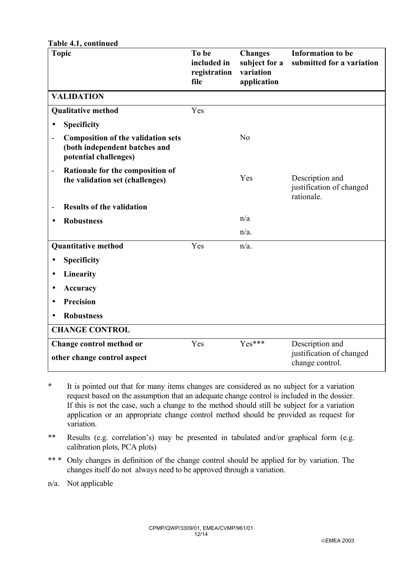| <b>Topic</b>                                                                                                          | To be<br>included in<br>registration<br>file | <b>Changes</b><br>subject for a<br>variation<br>application | <b>Information to be</b><br>submitted for a variation     |
|-----------------------------------------------------------------------------------------------------------------------|----------------------------------------------|-------------------------------------------------------------|-----------------------------------------------------------|
| <b>VALIDATION</b>                                                                                                     |                                              |                                                             |                                                           |
| <b>Qualitative method</b>                                                                                             | Yes                                          |                                                             |                                                           |
| Specificity<br>$\bullet$                                                                                              |                                              |                                                             |                                                           |
| <b>Composition of the validation sets</b><br>$\overline{a}$<br>(both independent batches and<br>potential challenges) |                                              | N <sub>o</sub>                                              |                                                           |
| Rationale for the composition of<br>$\overline{\phantom{0}}$<br>the validation set (challenges)                       |                                              | Yes                                                         | Description and<br>justification of changed<br>rationale. |
| <b>Results of the validation</b><br>$\overline{a}$                                                                    |                                              |                                                             |                                                           |
| <b>Robustness</b><br>$\bullet$                                                                                        |                                              | n/a                                                         |                                                           |
|                                                                                                                       |                                              | $n/a$ .                                                     |                                                           |
| <b>Quantitative method</b>                                                                                            | Yes                                          | $n/a$ .                                                     |                                                           |
| <b>Specificity</b><br>$\bullet$                                                                                       |                                              |                                                             |                                                           |
| Linearity<br>$\bullet$                                                                                                |                                              |                                                             |                                                           |
| <b>Accuracy</b><br>$\bullet$                                                                                          |                                              |                                                             |                                                           |
| <b>Precision</b><br>$\bullet$                                                                                         |                                              |                                                             |                                                           |
| <b>Robustness</b><br>$\bullet$                                                                                        |                                              |                                                             |                                                           |
| <b>CHANGE CONTROL</b>                                                                                                 |                                              |                                                             |                                                           |
| Change control method or                                                                                              | Yes                                          | $Yes***$                                                    | Description and                                           |
| other change control aspect                                                                                           |                                              |                                                             | justification of changed<br>change control.               |

- \* It is pointed out that for many items changes are considered as no subject for a variation request based on the assumption that an adequate change control is included in the dossier. If this is not the case, such a change to the method should still be subject for a variation application or an appropriate change control method should be provided as request for variation.
- \*\* Results (e.g. correlation's) may be presented in tabulated and/or graphical form (e.g. calibration plots, PCA plots)
- \*\*\* Only changes in definition of the change control should be applied for by variation. The changes itself do not always need to be approved through a variation.
- n/a. Not applicable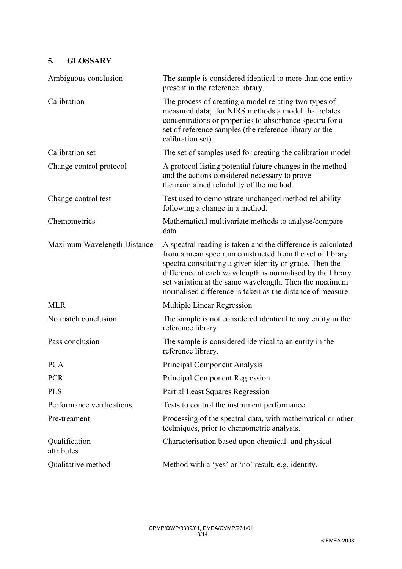# **5. GLOSSARY**

| Ambiguous conclusion        | The sample is considered identical to more than one entity<br>present in the reference library.                                                                                                                                                                                                                                                                            |
|-----------------------------|----------------------------------------------------------------------------------------------------------------------------------------------------------------------------------------------------------------------------------------------------------------------------------------------------------------------------------------------------------------------------|
| Calibration                 | The process of creating a model relating two types of<br>measured data; for NIRS methods a model that relates<br>concentrations or properties to absorbance spectra for a<br>set of reference samples (the reference library or the<br>calibration set)                                                                                                                    |
| Calibration set             | The set of samples used for creating the calibration model                                                                                                                                                                                                                                                                                                                 |
| Change control protocol     | A protocol listing potential future changes in the method<br>and the actions considered necessary to prove<br>the maintained reliability of the method.                                                                                                                                                                                                                    |
| Change control test         | Test used to demonstrate unchanged method reliability<br>following a change in a method.                                                                                                                                                                                                                                                                                   |
| Chemometrics                | Mathematical multivariate methods to analyse/compare<br>data                                                                                                                                                                                                                                                                                                               |
| Maximum Wavelength Distance | A spectral reading is taken and the difference is calculated<br>from a mean spectrum constructed from the set of library<br>spectra constituting a given identity or grade. Then the<br>difference at each wavelength is normalised by the library<br>set variation at the same wavelength. Then the maximum<br>normalised difference is taken as the distance of measure. |
| <b>MLR</b>                  | Multiple Linear Regression                                                                                                                                                                                                                                                                                                                                                 |
| No match conclusion         | The sample is not considered identical to any entity in the<br>reference library                                                                                                                                                                                                                                                                                           |
| Pass conclusion             | The sample is considered identical to an entity in the<br>reference library.                                                                                                                                                                                                                                                                                               |
| <b>PCA</b>                  | <b>Principal Component Analysis</b>                                                                                                                                                                                                                                                                                                                                        |
| <b>PCR</b>                  | <b>Principal Component Regression</b>                                                                                                                                                                                                                                                                                                                                      |
| <b>PLS</b>                  | <b>Partial Least Squares Regression</b>                                                                                                                                                                                                                                                                                                                                    |
| Performance verifications   | Tests to control the instrument performance                                                                                                                                                                                                                                                                                                                                |
| Pre-treament                | Processing of the spectral data, with mathematical or other<br>techniques, prior to chemometric analysis.                                                                                                                                                                                                                                                                  |
| Qualification<br>attributes | Characterisation based upon chemical- and physical                                                                                                                                                                                                                                                                                                                         |
| Qualitative method          | Method with a 'yes' or 'no' result, e.g. identity.                                                                                                                                                                                                                                                                                                                         |